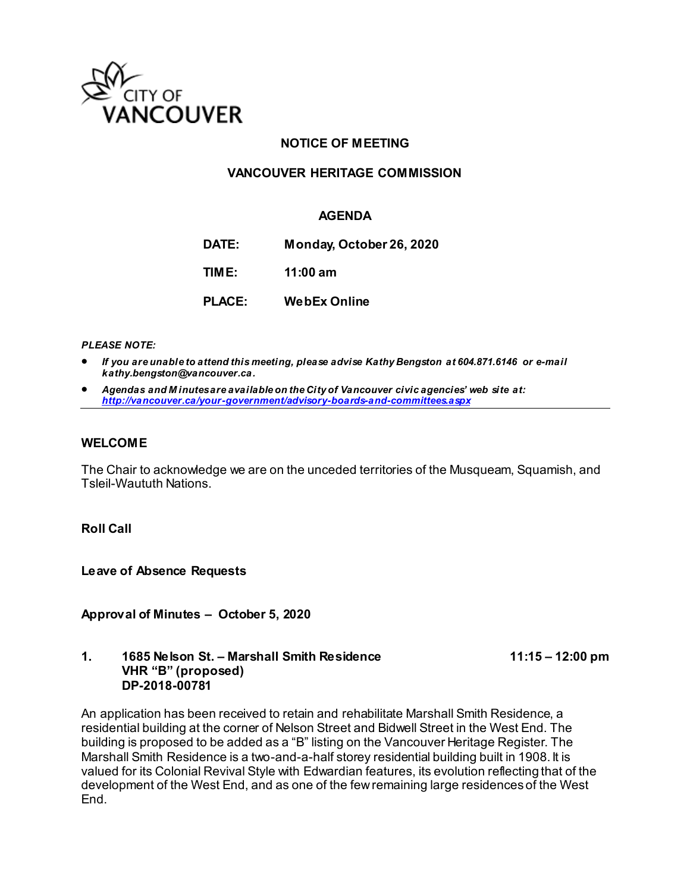

## **NOTICE OF MEETING**

## **VANCOUVER HERITAGE COMMISSION**

## **AGENDA**

**DATE: Monday, October 26, 2020**

**TIME: 11:00 am**

**PLACE: WebEx Online**

*PLEASE NOTE:*

- *If you are unable to attend this meeting, please advise Kathy Bengston at 604.871.6146 or e-mail kathy.bengston@vancouver.ca.*
- *Agendas and M inutes are available on the City of Vancouver civic agencies' web site at: <http://vancouver.ca/your-government/advisory-boards-and-committees.aspx>*

#### **WELCOME**

The Chair to acknowledge we are on the unceded territories of the Musqueam, Squamish, and Tsleil-Waututh Nations.

**Roll Call**

**Leave of Absence Requests** 

**Approval of Minutes – October 5, 2020**

#### **1. 1685 Nelson St. – Marshall Smith Residence 11:15 – 12:00 pm VHR "B" (proposed) DP-2018-00781**

An application has been received to retain and rehabilitate Marshall Smith Residence, a residential building at the corner of Nelson Street and Bidwell Street in the West End. The building is proposed to be added as a "B" listing on the Vancouver Heritage Register. The Marshall Smith Residence is a two-and-a-half storey residential building built in 1908. It is valued for its Colonial Revival Style with Edwardian features, its evolution reflecting that of the development of the West End, and as one of the few remaining large residences of the West End.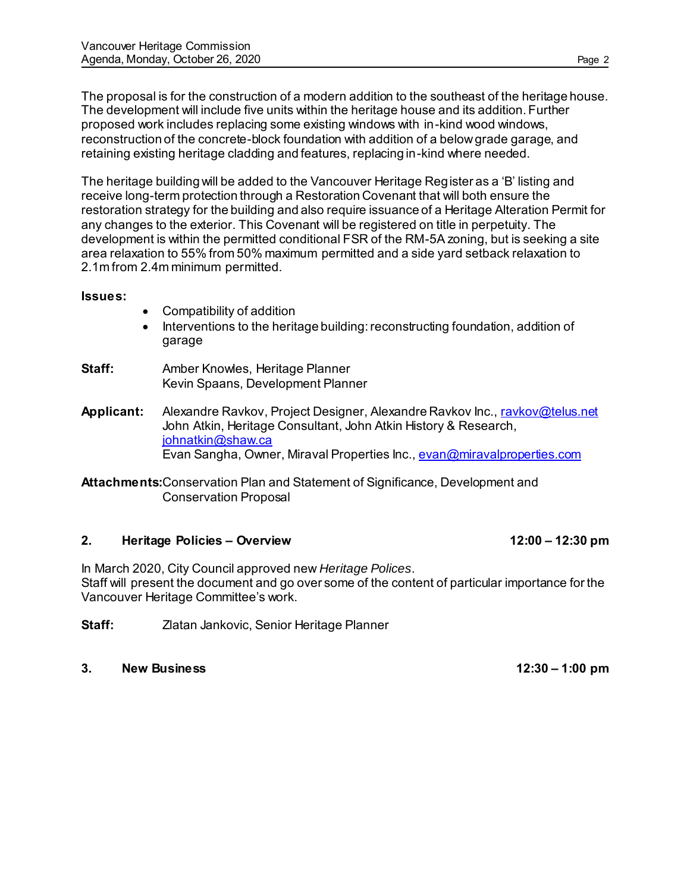The proposal is for the construction of a modern addition to the southeast of the heritage house. The development will include five units within the heritage house and its addition. Further proposed work includes replacing some existing windows with in-kind wood windows, reconstruction of the concrete-block foundation with addition of a below grade garage, and retaining existing heritage cladding and features, replacing in-kind where needed.

The heritage building will be added to the Vancouver Heritage Register as a 'B' listing and receive long-term protection through a Restoration Covenant that will both ensure the restoration strategy for the building and also require issuance of a Heritage Alteration Permit for any changes to the exterior. This Covenant will be registered on title in perpetuity. The development is within the permitted conditional FSR of the RM-5A zoning, but is seeking a site area relaxation to 55% from 50% maximum permitted and a side yard setback relaxation to 2.1m from 2.4m minimum permitted.

## **Issues:**

- Compatibility of addition
- Interventions to the heritage building: reconstructing foundation, addition of garage
- **Staff:** Amber Knowles, Heritage Planner Kevin Spaans, Development Planner
- **Applicant:** Alexandre Ravkov, Project Designer, Alexandre Ravkov Inc.[, ravkov@telus.net](mailto:ravkov@telus.net) John Atkin, Heritage Consultant, John Atkin History & Research, [johnatkin@shaw.ca](mailto:johnatkin@shaw.ca) Evan Sangha, Owner, Miraval Properties Inc.[, evan@miravalproperties.com](mailto:evan@miravalproperties.com)

**Attachments:**Conservation Plan and Statement of Significance, Development and Conservation Proposal

## **2. Heritage Policies – Overview 12:00 – 12:30 pm**

In March 2020, City Council approved new *Heritage Polices*. Staff will present the document and go over some of the content of particular importance for the Vancouver Heritage Committee's work.

**Staff:** Zlatan Jankovic, Senior Heritage Planner

**3. New Business 12:30 – 1:00 pm**